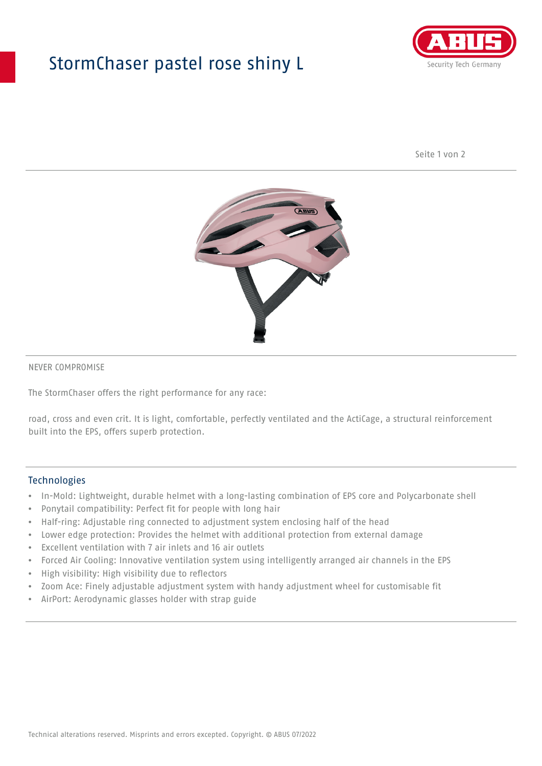## StormChaser pastel rose shiny L



Seite 1 von 2



#### NEVER COMPROMISE

The StormChaser offers the right performance for any race:

road, cross and even crit. It is light, comfortable, perfectly ventilated and the ActiCage, a structural reinforcement built into the EPS, offers superb protection.

#### Technologies

- In-Mold: Lightweight, durable helmet with a long-lasting combination of EPS core and Polycarbonate shell
- Ponytail compatibility: Perfect fit for people with long hair
- Half-ring: Adjustable ring connected to adjustment system enclosing half of the head
- Lower edge protection: Provides the helmet with additional protection from external damage
- Excellent ventilation with 7 air inlets and 16 air outlets
- Forced Air Cooling: Innovative ventilation system using intelligently arranged air channels in the EPS
- High visibility: High visibility due to reflectors
- Zoom Ace: Finely adjustable adjustment system with handy adjustment wheel for customisable fit
- AirPort: Aerodynamic glasses holder with strap guide